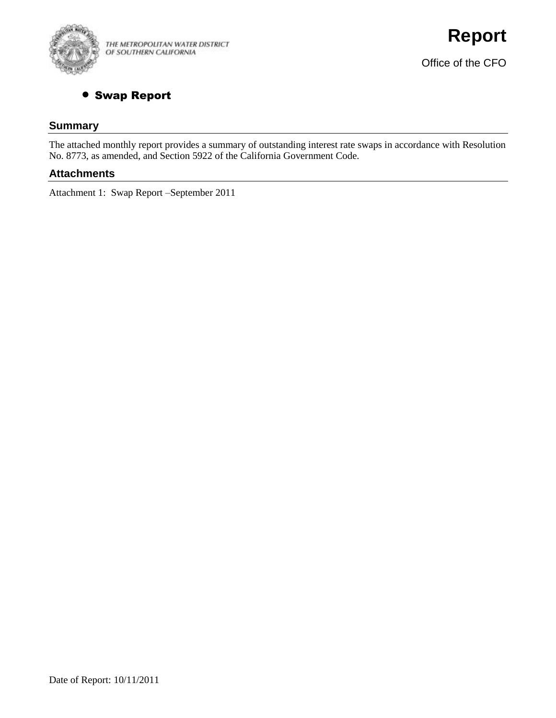

THE METROPOLITAN WATER DISTRICT OF SOUTHERN CALIFORNIA

## **• Swap Report**

#### **Summary**

The attached monthly report provides a summary of outstanding interest rate swaps in accordance with Resolution No. 8773, as amended, and Section 5922 of the California Government Code.

#### **Attachments**

Attachment 1: Swap Report –September 2011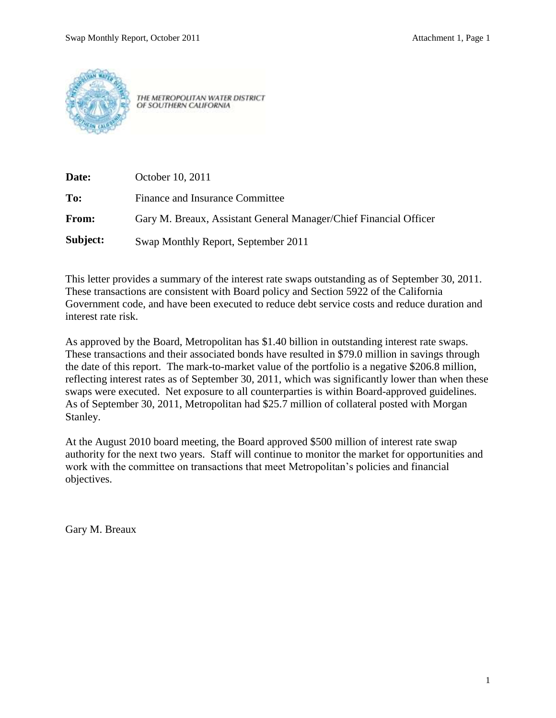

THE METROPOLITAN WATER DISTRICT OF SOUTHERN CALIFORNIA

| Date:        | October 10, 2011                                                  |
|--------------|-------------------------------------------------------------------|
| To:          | Finance and Insurance Committee                                   |
| <b>From:</b> | Gary M. Breaux, Assistant General Manager/Chief Financial Officer |
| Subject:     | Swap Monthly Report, September 2011                               |

This letter provides a summary of the interest rate swaps outstanding as of September 30, 2011. These transactions are consistent with Board policy and Section 5922 of the California Government code, and have been executed to reduce debt service costs and reduce duration and interest rate risk.

As approved by the Board, Metropolitan has \$1.40 billion in outstanding interest rate swaps. These transactions and their associated bonds have resulted in \$79.0 million in savings through the date of this report. The mark-to-market value of the portfolio is a negative \$206.8 million, reflecting interest rates as of September 30, 2011, which was significantly lower than when these swaps were executed. Net exposure to all counterparties is within Board-approved guidelines. As of September 30, 2011, Metropolitan had \$25.7 million of collateral posted with Morgan Stanley.

At the August 2010 board meeting, the Board approved \$500 million of interest rate swap authority for the next two years. Staff will continue to monitor the market for opportunities and work with the committee on transactions that meet Metropolitan's policies and financial objectives.

Gary M. Breaux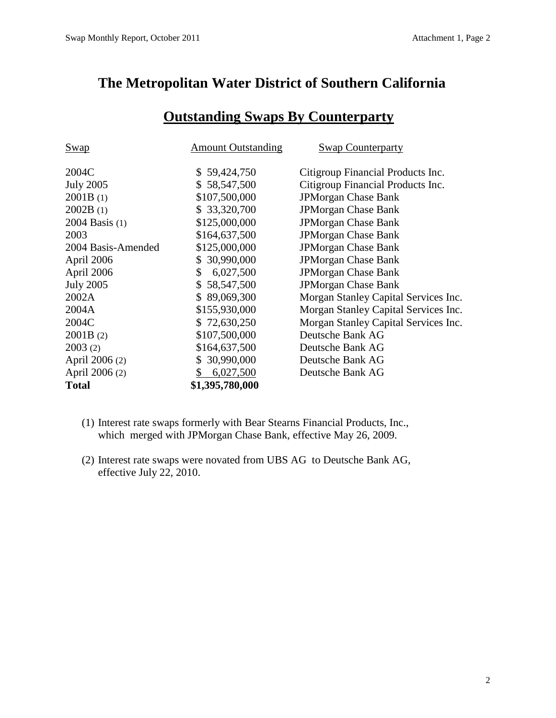## **The Metropolitan Water District of Southern California**

| <b>Swap</b>        | <b>Amount Outstanding</b> | <b>Swap Counterparty</b>             |
|--------------------|---------------------------|--------------------------------------|
| 2004C              | \$59,424,750              | Citigroup Financial Products Inc.    |
| <b>July 2005</b>   | \$58,547,500              | Citigroup Financial Products Inc.    |
| 2001B(1)           | \$107,500,000             | <b>JPMorgan Chase Bank</b>           |
| 2002B(1)           | \$ 33,320,700             | <b>JPMorgan Chase Bank</b>           |
| 2004 Basis (1)     | \$125,000,000             | <b>JPMorgan Chase Bank</b>           |
| 2003               | \$164,637,500             | <b>JPMorgan Chase Bank</b>           |
| 2004 Basis-Amended | \$125,000,000             | <b>JPMorgan Chase Bank</b>           |
| April 2006         | \$30,990,000              | <b>JPMorgan Chase Bank</b>           |
| April 2006         | 6,027,500<br>S.           | <b>JPMorgan Chase Bank</b>           |
| <b>July 2005</b>   | \$58,547,500              | <b>JPMorgan Chase Bank</b>           |
| 2002A              | \$89,069,300              | Morgan Stanley Capital Services Inc. |
| 2004A              | \$155,930,000             | Morgan Stanley Capital Services Inc. |
| 2004C              | \$72,630,250              | Morgan Stanley Capital Services Inc. |
| 2001B(2)           | \$107,500,000             | Deutsche Bank AG                     |
| 2003(2)            | \$164,637,500             | Deutsche Bank AG                     |
| April 2006 (2)     | \$30,990,000              | Deutsche Bank AG                     |
| April 2006 (2)     | \$<br>6,027,500           | Deutsche Bank AG                     |
| <b>Total</b>       | \$1,395,780,000           |                                      |

# **Outstanding Swaps By Counterparty**

- (1) Interest rate swaps formerly with Bear Stearns Financial Products, Inc., which merged with JPMorgan Chase Bank, effective May 26, 2009.
- (2) Interest rate swaps were novated from UBS AG to Deutsche Bank AG, effective July 22, 2010.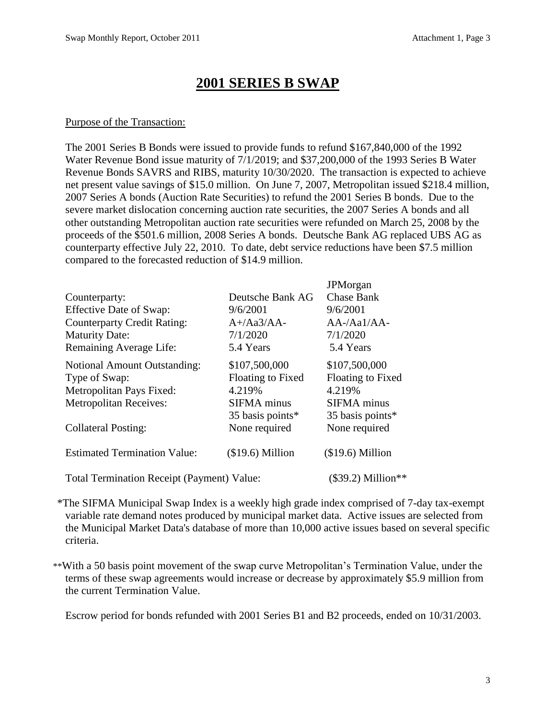## **2001 SERIES B SWAP**

#### Purpose of the Transaction:

The 2001 Series B Bonds were issued to provide funds to refund \$167,840,000 of the 1992 Water Revenue Bond issue maturity of 7/1/2019; and \$37,200,000 of the 1993 Series B Water Revenue Bonds SAVRS and RIBS, maturity 10/30/2020. The transaction is expected to achieve net present value savings of \$15.0 million. On June 7, 2007, Metropolitan issued \$218.4 million, 2007 Series A bonds (Auction Rate Securities) to refund the 2001 Series B bonds. Due to the severe market dislocation concerning auction rate securities, the 2007 Series A bonds and all other outstanding Metropolitan auction rate securities were refunded on March 25, 2008 by the proceeds of the \$501.6 million, 2008 Series A bonds. Deutsche Bank AG replaced UBS AG as counterparty effective July 22, 2010. To date, debt service reductions have been \$7.5 million compared to the forecasted reduction of \$14.9 million.

|                                                   |                    | <b>JPM</b> organ         |
|---------------------------------------------------|--------------------|--------------------------|
| Counterparty:                                     | Deutsche Bank AG   | <b>Chase Bank</b>        |
| Effective Date of Swap:                           | 9/6/2001           | 9/6/2001                 |
| <b>Counterparty Credit Rating:</b>                | $A+}/Aa3/AA-$      | $AA$ -/Aa $1/A$ A-       |
| <b>Maturity Date:</b>                             | 7/1/2020           | 7/1/2020                 |
| Remaining Average Life:                           | 5.4 Years          | 5.4 Years                |
| <b>Notional Amount Outstanding:</b>               | \$107,500,000      | \$107,500,000            |
| Type of Swap:                                     | Floating to Fixed  | <b>Floating to Fixed</b> |
| Metropolitan Pays Fixed:                          | 4.219%             | 4.219%                   |
| <b>Metropolitan Receives:</b>                     | <b>SIFMA</b> minus | <b>SIFMA</b> minus       |
|                                                   | 35 basis points*   | 35 basis points*         |
| <b>Collateral Posting:</b>                        | None required      | None required            |
| <b>Estimated Termination Value:</b>               | $($19.6)$ Million  | $($19.6)$ Million        |
| <b>Total Termination Receipt (Payment) Value:</b> |                    | $(\$39.2)$ Million**     |

\*The SIFMA Municipal Swap Index is a weekly high grade index comprised of 7-day tax-exempt variable rate demand notes produced by municipal market data. Active issues are selected from the Municipal Market Data's database of more than 10,000 active issues based on several specific criteria.

\*\*With a 50 basis point movement of the swap curve Metropolitan's Termination Value, under the terms of these swap agreements would increase or decrease by approximately \$5.9 million from the current Termination Value.

Escrow period for bonds refunded with 2001 Series B1 and B2 proceeds, ended on 10/31/2003.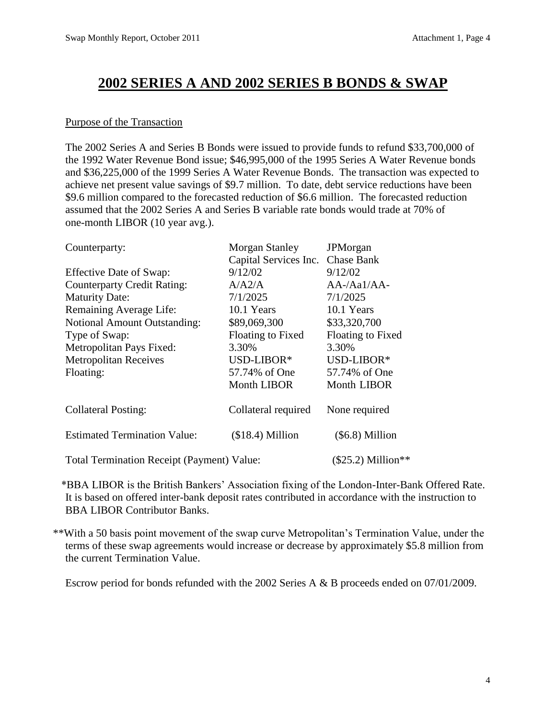## **2002 SERIES A AND 2002 SERIES B BONDS & SWAP**

### Purpose of the Transaction

The 2002 Series A and Series B Bonds were issued to provide funds to refund \$33,700,000 of the 1992 Water Revenue Bond issue; \$46,995,000 of the 1995 Series A Water Revenue bonds and \$36,225,000 of the 1999 Series A Water Revenue Bonds. The transaction was expected to achieve net present value savings of \$9.7 million. To date, debt service reductions have been \$9.6 million compared to the forecasted reduction of \$6.6 million. The forecasted reduction assumed that the 2002 Series A and Series B variable rate bonds would trade at 70% of one-month LIBOR (10 year avg.).

| Counterparty:                                     | Morgan Stanley        | <b>JPM</b> organ    |
|---------------------------------------------------|-----------------------|---------------------|
|                                                   | Capital Services Inc. | <b>Chase Bank</b>   |
| Effective Date of Swap:                           | 9/12/02               | 9/12/02             |
| <b>Counterparty Credit Rating:</b>                | A/A2/A                | AA-/Aa1/AA-         |
| <b>Maturity Date:</b>                             | 7/1/2025              | 7/1/2025            |
| Remaining Average Life:                           | 10.1 Years            | 10.1 Years          |
| <b>Notional Amount Outstanding:</b>               | \$89,069,300          | \$33,320,700        |
| Type of Swap:                                     | Floating to Fixed     | Floating to Fixed   |
| Metropolitan Pays Fixed:                          | 3.30%                 | 3.30%               |
| <b>Metropolitan Receives</b>                      | USD-LIBOR*            | USD-LIBOR*          |
| Floating:                                         | 57.74% of One         | 57.74% of One       |
|                                                   | <b>Month LIBOR</b>    | Month LIBOR         |
| <b>Collateral Posting:</b>                        | Collateral required   | None required       |
| <b>Estimated Termination Value:</b>               | $($18.4)$ Million     | $(\$6.8)$ Million   |
| <b>Total Termination Receipt (Payment) Value:</b> |                       | $($25.2)$ Million** |

\*BBA LIBOR is the British Bankers' Association fixing of the London-Inter-Bank Offered Rate. It is based on offered inter-bank deposit rates contributed in accordance with the instruction to BBA LIBOR Contributor Banks.

\*\*With a 50 basis point movement of the swap curve Metropolitan's Termination Value, under the terms of these swap agreements would increase or decrease by approximately \$5.8 million from the current Termination Value.

Escrow period for bonds refunded with the 2002 Series A & B proceeds ended on 07/01/2009.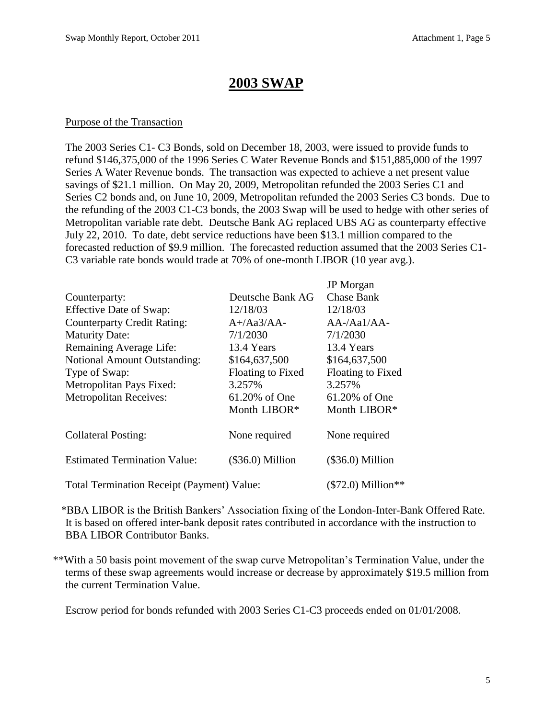## **2003 SWAP**

#### Purpose of the Transaction

The 2003 Series C1- C3 Bonds, sold on December 18, 2003, were issued to provide funds to refund \$146,375,000 of the 1996 Series C Water Revenue Bonds and \$151,885,000 of the 1997 Series A Water Revenue bonds. The transaction was expected to achieve a net present value savings of \$21.1 million. On May 20, 2009, Metropolitan refunded the 2003 Series C1 and Series C2 bonds and, on June 10, 2009, Metropolitan refunded the 2003 Series C3 bonds. Due to the refunding of the 2003 C1-C3 bonds, the 2003 Swap will be used to hedge with other series of Metropolitan variable rate debt. Deutsche Bank AG replaced UBS AG as counterparty effective July 22, 2010. To date, debt service reductions have been \$13.1 million compared to the forecasted reduction of \$9.9 million. The forecasted reduction assumed that the 2003 Series C1- C3 variable rate bonds would trade at 70% of one-month LIBOR (10 year avg.).

|                                            |                          | <b>JP</b> Morgan                 |
|--------------------------------------------|--------------------------|----------------------------------|
| Counterparty:                              | Deutsche Bank AG         | <b>Chase Bank</b>                |
| <b>Effective Date of Swap:</b>             | 12/18/03                 | 12/18/03                         |
| <b>Counterparty Credit Rating:</b>         | $A+}/Aa3/AA-$            | $AA$ -/Aa $1/A$ A-               |
| <b>Maturity Date:</b>                      | 7/1/2030                 | 7/1/2030                         |
| Remaining Average Life:                    | 13.4 Years               | 13.4 Years                       |
| <b>Notional Amount Outstanding:</b>        | \$164,637,500            | \$164,637,500                    |
| Type of Swap:                              | <b>Floating to Fixed</b> | <b>Floating to Fixed</b>         |
| Metropolitan Pays Fixed:                   | 3.257%                   | 3.257%                           |
| <b>Metropolitan Receives:</b>              | 61.20% of One            | 61.20% of One                    |
|                                            | Month LIBOR*             | Month LIBOR*                     |
| <b>Collateral Posting:</b>                 | None required            | None required                    |
| <b>Estimated Termination Value:</b>        | $(\$36.0)$ Million       | $(\$36.0)$ Million               |
| Total Termination Receipt (Payment) Value: |                          | $(\$72.0)$ Million <sup>**</sup> |

\*BBA LIBOR is the British Bankers' Association fixing of the London-Inter-Bank Offered Rate. It is based on offered inter-bank deposit rates contributed in accordance with the instruction to BBA LIBOR Contributor Banks.

\*\*With a 50 basis point movement of the swap curve Metropolitan's Termination Value, under the terms of these swap agreements would increase or decrease by approximately \$19.5 million from the current Termination Value.

Escrow period for bonds refunded with 2003 Series C1-C3 proceeds ended on 01/01/2008.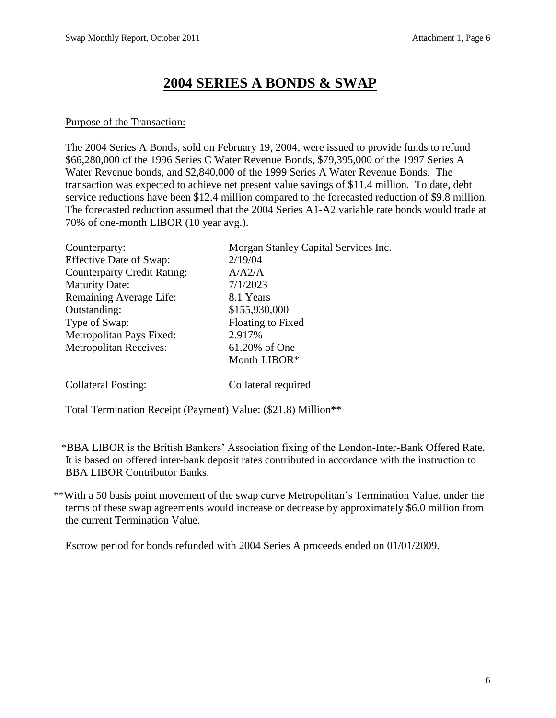# **2004 SERIES A BONDS & SWAP**

#### Purpose of the Transaction:

The 2004 Series A Bonds, sold on February 19, 2004, were issued to provide funds to refund \$66,280,000 of the 1996 Series C Water Revenue Bonds, \$79,395,000 of the 1997 Series A Water Revenue bonds, and \$2,840,000 of the 1999 Series A Water Revenue Bonds. The transaction was expected to achieve net present value savings of \$11.4 million. To date, debt service reductions have been \$12.4 million compared to the forecasted reduction of \$9.8 million. The forecasted reduction assumed that the 2004 Series A1-A2 variable rate bonds would trade at 70% of one-month LIBOR (10 year avg.).

| Counterparty:                      | Morgan Stanley Capital Services Inc. |
|------------------------------------|--------------------------------------|
| <b>Effective Date of Swap:</b>     | 2/19/04                              |
| <b>Counterparty Credit Rating:</b> | A/A2/A                               |
| <b>Maturity Date:</b>              | 7/1/2023                             |
| Remaining Average Life:            | 8.1 Years                            |
| Outstanding:                       | \$155,930,000                        |
| Type of Swap:                      | Floating to Fixed                    |
| Metropolitan Pays Fixed:           | 2.917%                               |
| <b>Metropolitan Receives:</b>      | 61.20% of One                        |
|                                    | Month LIBOR*                         |
| <b>Collateral Posting:</b>         | Collateral required                  |

Total Termination Receipt (Payment) Value: (\$21.8) Million\*\*

\*BBA LIBOR is the British Bankers' Association fixing of the London-Inter-Bank Offered Rate. It is based on offered inter-bank deposit rates contributed in accordance with the instruction to BBA LIBOR Contributor Banks.

\*\*With a 50 basis point movement of the swap curve Metropolitan's Termination Value, under the terms of these swap agreements would increase or decrease by approximately \$6.0 million from the current Termination Value.

Escrow period for bonds refunded with 2004 Series A proceeds ended on 01/01/2009.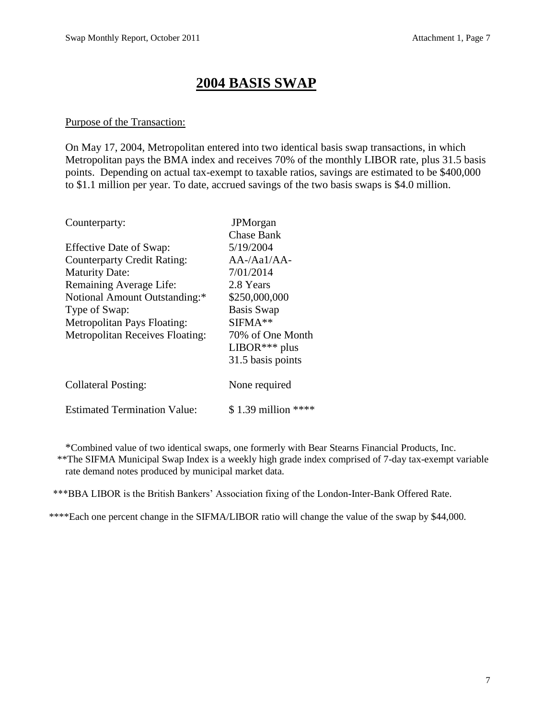## **2004 BASIS SWAP**

#### Purpose of the Transaction:

On May 17, 2004, Metropolitan entered into two identical basis swap transactions, in which Metropolitan pays the BMA index and receives 70% of the monthly LIBOR rate, plus 31.5 basis points. Depending on actual tax-exempt to taxable ratios, savings are estimated to be \$400,000 to \$1.1 million per year. To date, accrued savings of the two basis swaps is \$4.0 million.

| Counterparty:                          | <b>JPM</b> organ    |
|----------------------------------------|---------------------|
|                                        | <b>Chase Bank</b>   |
| Effective Date of Swap:                | 5/19/2004           |
| <b>Counterparty Credit Rating:</b>     | $AA$ -/Aa $1/A$ A-  |
| <b>Maturity Date:</b>                  | 7/01/2014           |
| Remaining Average Life:                | 2.8 Years           |
| Notional Amount Outstanding:*          | \$250,000,000       |
| Type of Swap:                          | <b>Basis Swap</b>   |
| Metropolitan Pays Floating:            | $SIFMA**$           |
| <b>Metropolitan Receives Floating:</b> | 70% of One Month    |
|                                        | $LIBOR***$ plus     |
|                                        | 31.5 basis points   |
| <b>Collateral Posting:</b>             | None required       |
| <b>Estimated Termination Value:</b>    | \$1.39 million **** |

\*Combined value of two identical swaps, one formerly with Bear Stearns Financial Products, Inc. \*\*The SIFMA Municipal Swap Index is a weekly high grade index comprised of 7-day tax-exempt variable rate demand notes produced by municipal market data.

\*\*\*BBA LIBOR is the British Bankers' Association fixing of the London-Inter-Bank Offered Rate.

\*\*\*\*Each one percent change in the SIFMA/LIBOR ratio will change the value of the swap by \$44,000.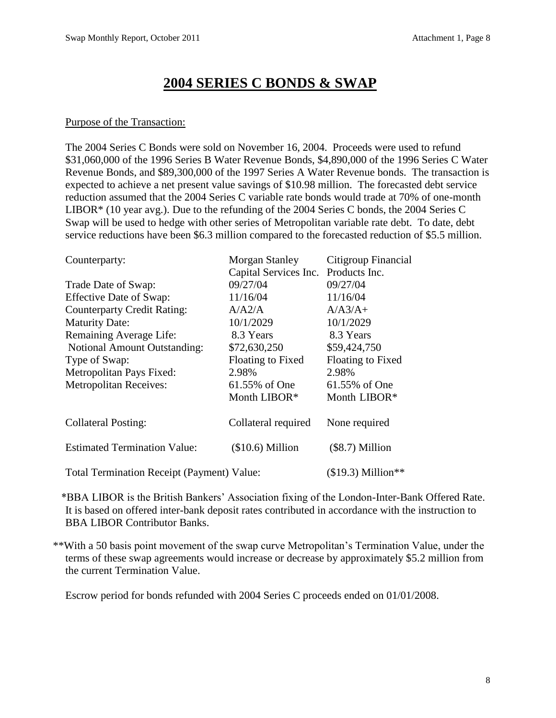## **2004 SERIES C BONDS & SWAP**

#### Purpose of the Transaction:

The 2004 Series C Bonds were sold on November 16, 2004. Proceeds were used to refund \$31,060,000 of the 1996 Series B Water Revenue Bonds, \$4,890,000 of the 1996 Series C Water Revenue Bonds, and \$89,300,000 of the 1997 Series A Water Revenue bonds. The transaction is expected to achieve a net present value savings of \$10.98 million. The forecasted debt service reduction assumed that the 2004 Series C variable rate bonds would trade at 70% of one-month LIBOR\* (10 year avg.). Due to the refunding of the 2004 Series C bonds, the 2004 Series C Swap will be used to hedge with other series of Metropolitan variable rate debt. To date, debt service reductions have been \$6.3 million compared to the forecasted reduction of \$5.5 million.

| Counterparty:                                     | Morgan Stanley                      | Citigroup Financial      |
|---------------------------------------------------|-------------------------------------|--------------------------|
|                                                   | Capital Services Inc. Products Inc. |                          |
| Trade Date of Swap:                               | 09/27/04                            | 09/27/04                 |
| Effective Date of Swap:                           | 11/16/04                            | 11/16/04                 |
| <b>Counterparty Credit Rating:</b>                | A/A2/A                              | $A/A3/A+$                |
| <b>Maturity Date:</b>                             | 10/1/2029                           | 10/1/2029                |
| Remaining Average Life:                           | 8.3 Years                           | 8.3 Years                |
| <b>Notional Amount Outstanding:</b>               | \$72,630,250                        | \$59,424,750             |
| Type of Swap:                                     | Floating to Fixed                   | <b>Floating to Fixed</b> |
| Metropolitan Pays Fixed:                          | 2.98%                               | 2.98%                    |
| <b>Metropolitan Receives:</b>                     | 61.55% of One                       | 61.55% of One            |
|                                                   | Month LIBOR*                        | Month LIBOR*             |
| <b>Collateral Posting:</b>                        | Collateral required                 | None required            |
| <b>Estimated Termination Value:</b>               | $($10.6)$ Million                   | $(\$8.7)$ Million        |
| <b>Total Termination Receipt (Payment) Value:</b> |                                     | $($19.3)$ Million**      |

\*BBA LIBOR is the British Bankers' Association fixing of the London-Inter-Bank Offered Rate. It is based on offered inter-bank deposit rates contributed in accordance with the instruction to BBA LIBOR Contributor Banks.

\*\*With a 50 basis point movement of the swap curve Metropolitan's Termination Value, under the terms of these swap agreements would increase or decrease by approximately \$5.2 million from the current Termination Value.

Escrow period for bonds refunded with 2004 Series C proceeds ended on 01/01/2008.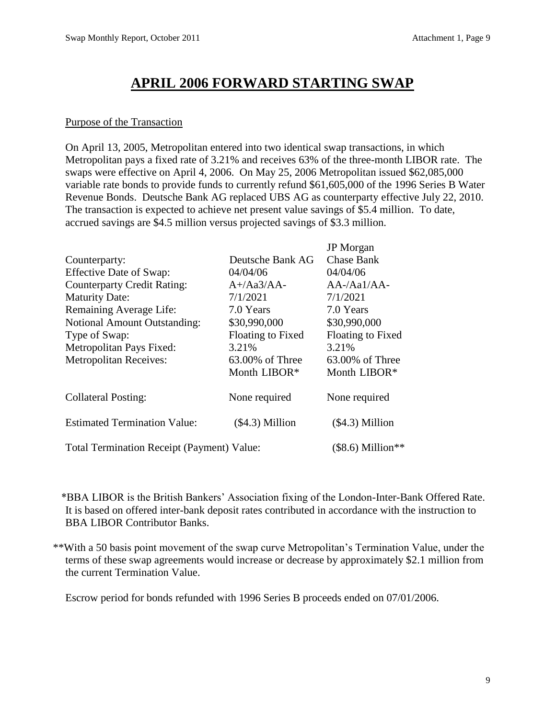# **APRIL 2006 FORWARD STARTING SWAP**

#### Purpose of the Transaction

On April 13, 2005, Metropolitan entered into two identical swap transactions, in which Metropolitan pays a fixed rate of 3.21% and receives 63% of the three-month LIBOR rate. The swaps were effective on April 4, 2006. On May 25, 2006 Metropolitan issued \$62,085,000 variable rate bonds to provide funds to currently refund \$61,605,000 of the 1996 Series B Water Revenue Bonds. Deutsche Bank AG replaced UBS AG as counterparty effective July 22, 2010. The transaction is expected to achieve net present value savings of \$5.4 million. To date, accrued savings are \$4.5 million versus projected savings of \$3.3 million.

|                                                   |                   | <b>JP</b> Morgan   |
|---------------------------------------------------|-------------------|--------------------|
| Counterparty:                                     | Deutsche Bank AG  | <b>Chase Bank</b>  |
| Effective Date of Swap:                           | 04/04/06          | 04/04/06           |
| <b>Counterparty Credit Rating:</b>                | $A+}/Aa3/AA-$     | $AA$ -/Aa $1/A$ A- |
| <b>Maturity Date:</b>                             | 7/1/2021          | 7/1/2021           |
| Remaining Average Life:                           | 7.0 Years         | 7.0 Years          |
| <b>Notional Amount Outstanding:</b>               | \$30,990,000      | \$30,990,000       |
| Type of Swap:                                     | Floating to Fixed | Floating to Fixed  |
| Metropolitan Pays Fixed:                          | 3.21%             | 3.21%              |
| <b>Metropolitan Receives:</b>                     | 63.00% of Three   | $63.00\%$ of Three |
|                                                   | Month LIBOR*      | Month LIBOR*       |
| <b>Collateral Posting:</b>                        | None required     | None required      |
| <b>Estimated Termination Value:</b>               | $($4.3)$ Million  | $($4.3)$ Million   |
| <b>Total Termination Receipt (Payment) Value:</b> |                   | $($8.6)$ Million** |

\*BBA LIBOR is the British Bankers' Association fixing of the London-Inter-Bank Offered Rate. It is based on offered inter-bank deposit rates contributed in accordance with the instruction to BBA LIBOR Contributor Banks.

\*\*With a 50 basis point movement of the swap curve Metropolitan's Termination Value, under the terms of these swap agreements would increase or decrease by approximately \$2.1 million from the current Termination Value.

Escrow period for bonds refunded with 1996 Series B proceeds ended on 07/01/2006.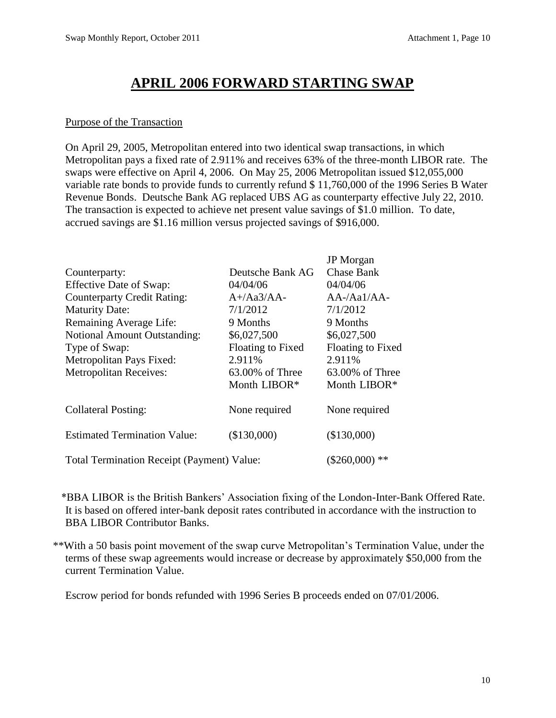# **APRIL 2006 FORWARD STARTING SWAP**

#### Purpose of the Transaction

On April 29, 2005, Metropolitan entered into two identical swap transactions, in which Metropolitan pays a fixed rate of 2.911% and receives 63% of the three-month LIBOR rate. The swaps were effective on April 4, 2006. On May 25, 2006 Metropolitan issued \$12,055,000 variable rate bonds to provide funds to currently refund \$ 11,760,000 of the 1996 Series B Water Revenue Bonds. Deutsche Bank AG replaced UBS AG as counterparty effective July 22, 2010. The transaction is expected to achieve net present value savings of \$1.0 million. To date, accrued savings are \$1.16 million versus projected savings of \$916,000.

|                                                   |                   | <b>JP</b> Morgan   |
|---------------------------------------------------|-------------------|--------------------|
| Counterparty:                                     | Deutsche Bank AG  | <b>Chase Bank</b>  |
| Effective Date of Swap:                           | 04/04/06          | 04/04/06           |
| <b>Counterparty Credit Rating:</b>                | $A+}/Aa3/AA-$     | $AA$ -/Aa $1/A$ A- |
| <b>Maturity Date:</b>                             | 7/1/2012          | 7/1/2012           |
| Remaining Average Life:                           | 9 Months          | 9 Months           |
| <b>Notional Amount Outstanding:</b>               | \$6,027,500       | \$6,027,500        |
| Type of Swap:                                     | Floating to Fixed | Floating to Fixed  |
| Metropolitan Pays Fixed:                          | 2.911%            | 2.911%             |
| <b>Metropolitan Receives:</b>                     | 63.00% of Three   | $63.00\%$ of Three |
|                                                   | Month LIBOR*      | Month LIBOR*       |
| <b>Collateral Posting:</b>                        | None required     | None required      |
| <b>Estimated Termination Value:</b>               | (\$130,000)       | (\$130,000)        |
| <b>Total Termination Receipt (Payment) Value:</b> |                   | $(\$260,000)**$    |

\*BBA LIBOR is the British Bankers' Association fixing of the London-Inter-Bank Offered Rate. It is based on offered inter-bank deposit rates contributed in accordance with the instruction to BBA LIBOR Contributor Banks.

\*\*With a 50 basis point movement of the swap curve Metropolitan's Termination Value, under the terms of these swap agreements would increase or decrease by approximately \$50,000 from the current Termination Value.

Escrow period for bonds refunded with 1996 Series B proceeds ended on 07/01/2006.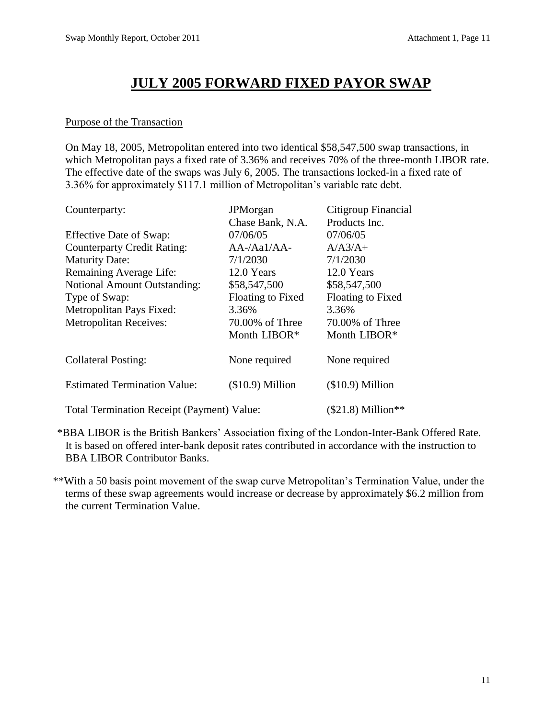## **JULY 2005 FORWARD FIXED PAYOR SWAP**

#### Purpose of the Transaction

On May 18, 2005, Metropolitan entered into two identical \$58,547,500 swap transactions, in which Metropolitan pays a fixed rate of 3.36% and receives 70% of the three-month LIBOR rate. The effective date of the swaps was July 6, 2005. The transactions locked-in a fixed rate of 3.36% for approximately \$117.1 million of Metropolitan's variable rate debt.

| Counterparty:                                     | <b>JPM</b> organ   | Citigroup Financial |
|---------------------------------------------------|--------------------|---------------------|
|                                                   | Chase Bank, N.A.   | Products Inc.       |
| <b>Effective Date of Swap:</b>                    | 07/06/05           | 07/06/05            |
| <b>Counterparty Credit Rating:</b>                | $AA$ -/Aa $1/A$ A- | $A/A3/A+$           |
| <b>Maturity Date:</b>                             | 7/1/2030           | 7/1/2030            |
| Remaining Average Life:                           | 12.0 Years         | 12.0 Years          |
| <b>Notional Amount Outstanding:</b>               | \$58,547,500       | \$58,547,500        |
| Type of Swap:                                     | Floating to Fixed  | Floating to Fixed   |
| Metropolitan Pays Fixed:                          | 3.36%              | 3.36%               |
| <b>Metropolitan Receives:</b>                     | 70.00% of Three    | 70.00% of Three     |
|                                                   | Month LIBOR*       | Month LIBOR*        |
| <b>Collateral Posting:</b>                        | None required      | None required       |
| <b>Estimated Termination Value:</b>               | $($10.9)$ Million  | $($10.9)$ Million   |
| <b>Total Termination Receipt (Payment) Value:</b> |                    | $($21.8)$ Million** |

\*BBA LIBOR is the British Bankers' Association fixing of the London-Inter-Bank Offered Rate. It is based on offered inter-bank deposit rates contributed in accordance with the instruction to BBA LIBOR Contributor Banks.

\*\*With a 50 basis point movement of the swap curve Metropolitan's Termination Value, under the terms of these swap agreements would increase or decrease by approximately \$6.2 million from the current Termination Value.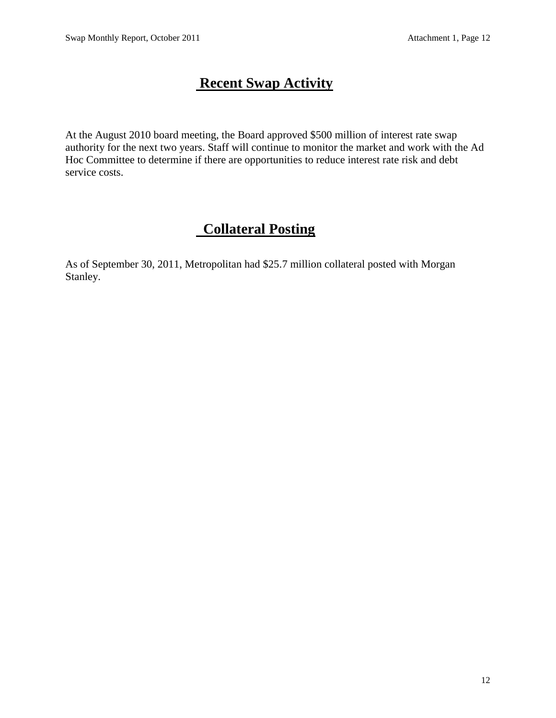# **Recent Swap Activity**

At the August 2010 board meeting, the Board approved \$500 million of interest rate swap authority for the next two years. Staff will continue to monitor the market and work with the Ad Hoc Committee to determine if there are opportunities to reduce interest rate risk and debt service costs.

# **Collateral Posting**

As of September 30, 2011, Metropolitan had \$25.7 million collateral posted with Morgan Stanley.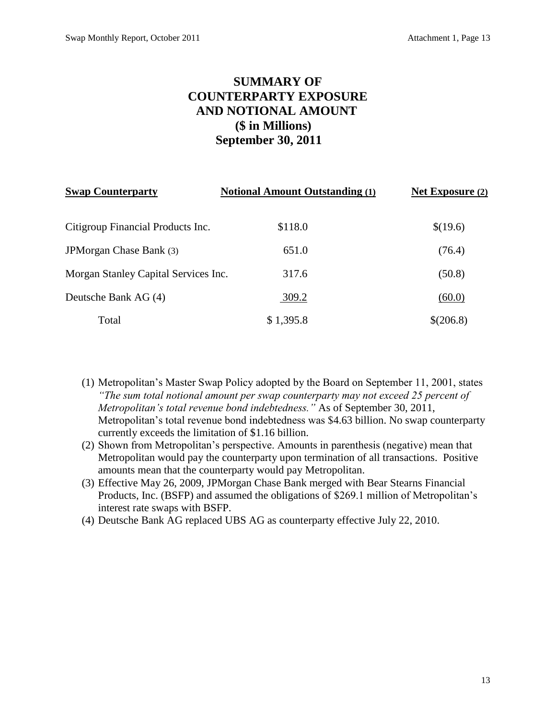## **SUMMARY OF COUNTERPARTY EXPOSURE AND NOTIONAL AMOUNT (\$ in Millions) September 30, 2011**

| <b>Swap Counterparty</b>             | <b>Notional Amount Outstanding (1)</b> | Net Exposure (2) |
|--------------------------------------|----------------------------------------|------------------|
| Citigroup Financial Products Inc.    | \$118.0                                | \$(19.6)         |
| JPM organ Chase Bank (3)             | 651.0                                  | (76.4)           |
| Morgan Stanley Capital Services Inc. | 317.6                                  | (50.8)           |
| Deutsche Bank AG (4)                 | 309.2                                  | (60.0)           |
| Total                                | \$1,395.8                              | \$(206.8)        |

(1) Metropolitan's Master Swap Policy adopted by the Board on September 11, 2001, states *"The sum total notional amount per swap counterparty may not exceed 25 percent of Metropolitan's total revenue bond indebtedness."* As of September 30, 2011, Metropolitan's total revenue bond indebtedness was \$4.63 billion. No swap counterparty currently exceeds the limitation of \$1.16 billion.

- (2) Shown from Metropolitan's perspective. Amounts in parenthesis (negative) mean that Metropolitan would pay the counterparty upon termination of all transactions. Positive amounts mean that the counterparty would pay Metropolitan.
- (3) Effective May 26, 2009, JPMorgan Chase Bank merged with Bear Stearns Financial Products, Inc. (BSFP) and assumed the obligations of \$269.1 million of Metropolitan's interest rate swaps with BSFP.
- (4) Deutsche Bank AG replaced UBS AG as counterparty effective July 22, 2010.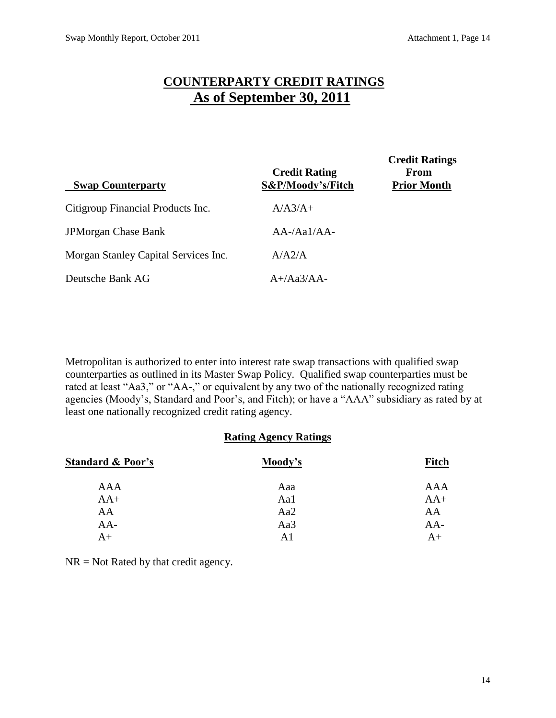## **COUNTERPARTY CREDIT RATINGS As of September 30, 2011**

| <b>Swap Counterparty</b>             | <b>Credit Rating</b><br>S&P/Moody's/Fitch | <b>Credit Ratings</b><br>From<br><b>Prior Month</b> |
|--------------------------------------|-------------------------------------------|-----------------------------------------------------|
| Citigroup Financial Products Inc.    | $A/A3/A+$                                 |                                                     |
| <b>JPMorgan Chase Bank</b>           | $AA$ -/Aa $1/A$ A-                        |                                                     |
| Morgan Stanley Capital Services Inc. | A/A2/A                                    |                                                     |
| Deutsche Bank AG                     | $A+}/Aa3/AA-$                             |                                                     |

Metropolitan is authorized to enter into interest rate swap transactions with qualified swap counterparties as outlined in its Master Swap Policy. Qualified swap counterparties must be rated at least "Aa3," or "AA-," or equivalent by any two of the nationally recognized rating agencies (Moody's, Standard and Poor's, and Fitch); or have a "AAA" subsidiary as rated by at least one nationally recognized credit rating agency.

#### **Rating Agency Ratings**

| <b>Standard &amp; Poor's</b> | Moody's | <b>Fitch</b> |
|------------------------------|---------|--------------|
| <b>AAA</b>                   | Aaa     | AAA          |
| $AA+$                        | Aa1     | $AA+$        |
| AA                           | Aa2     | AA           |
| $AA-$                        | Aa3     | $AA-$        |
| $A+$                         | A1      | $A+$         |

 $NR = Not$  Rated by that credit agency.